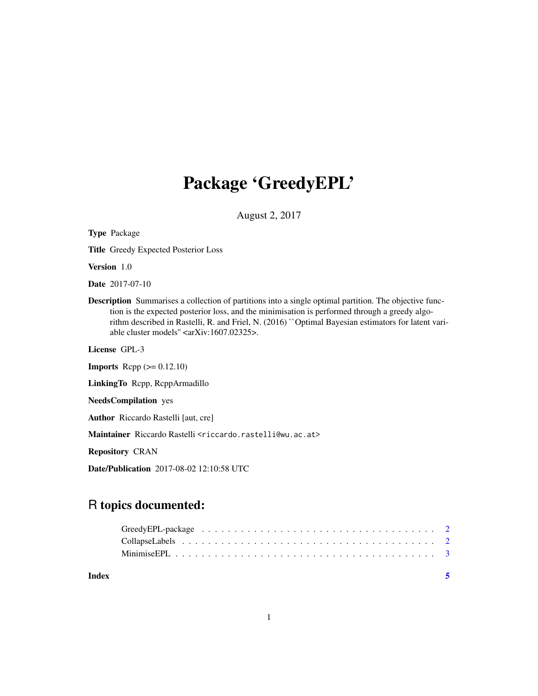# Package 'GreedyEPL'

August 2, 2017

| <b>Type Package</b>                                                                                                                                                                                                                                                                                                                                                                     |
|-----------------------------------------------------------------------------------------------------------------------------------------------------------------------------------------------------------------------------------------------------------------------------------------------------------------------------------------------------------------------------------------|
| <b>Title</b> Greedy Expected Posterior Loss                                                                                                                                                                                                                                                                                                                                             |
| Version 1.0                                                                                                                                                                                                                                                                                                                                                                             |
| <b>Date</b> 2017-07-10                                                                                                                                                                                                                                                                                                                                                                  |
| <b>Description</b> Summarises a collection of partitions into a single optimal partition. The objective func-<br>tion is the expected posterior loss, and the minimisation is performed through a greedy algo-<br>rithm described in Rastelli, R. and Friel, N. (2016) "Optimal Bayesian estimators for latent vari-<br>able cluster models" $\langle \text{arXiv:1607.02325}\rangle$ . |
| License GPL-3                                                                                                                                                                                                                                                                                                                                                                           |
| <b>Imports</b> Repp $(>= 0.12.10)$                                                                                                                                                                                                                                                                                                                                                      |
| Linking To Repp, ReppArmadillo                                                                                                                                                                                                                                                                                                                                                          |
| <b>NeedsCompilation</b> yes                                                                                                                                                                                                                                                                                                                                                             |
| <b>Author</b> Riccardo Rastelli [aut, cre]                                                                                                                                                                                                                                                                                                                                              |
| Maintainer Riccardo Rastelli <riccardo.rastelli@wu.ac.at></riccardo.rastelli@wu.ac.at>                                                                                                                                                                                                                                                                                                  |
| <b>Repository CRAN</b>                                                                                                                                                                                                                                                                                                                                                                  |

Date/Publication 2017-08-02 12:10:58 UTC

# R topics documented:

**Index** [5](#page-4-0)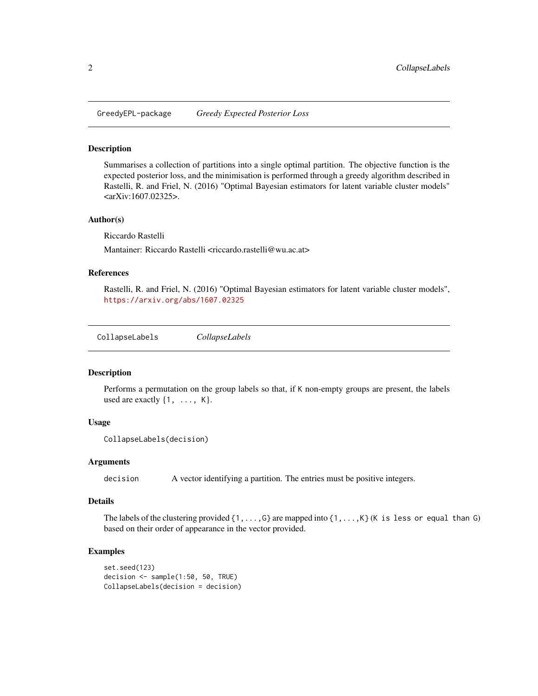<span id="page-1-0"></span>GreedyEPL-package *Greedy Expected Posterior Loss*

#### Description

Summarises a collection of partitions into a single optimal partition. The objective function is the expected posterior loss, and the minimisation is performed through a greedy algorithm described in Rastelli, R. and Friel, N. (2016) "Optimal Bayesian estimators for latent variable cluster models" <arXiv:1607.02325>.

#### Author(s)

Riccardo Rastelli

Mantainer: Riccardo Rastelli <riccardo.rastelli@wu.ac.at>

#### References

Rastelli, R. and Friel, N. (2016) "Optimal Bayesian estimators for latent variable cluster models", <https://arxiv.org/abs/1607.02325>

<span id="page-1-1"></span>CollapseLabels *CollapseLabels*

#### Description

Performs a permutation on the group labels so that, if K non-empty groups are present, the labels used are exactly  $\{1, \ldots, K\}$ .

#### Usage

```
CollapseLabels(decision)
```
#### Arguments

decision A vector identifying a partition. The entries must be positive integers.

#### Details

The labels of the clustering provided  $\{1,\ldots, G\}$  are mapped into  $\{1,\ldots, K\}$  (K is less or equal than G) based on their order of appearance in the vector provided.

#### Examples

```
set.seed(123)
decision <- sample(1:50, 50, TRUE)
CollapseLabels(decision = decision)
```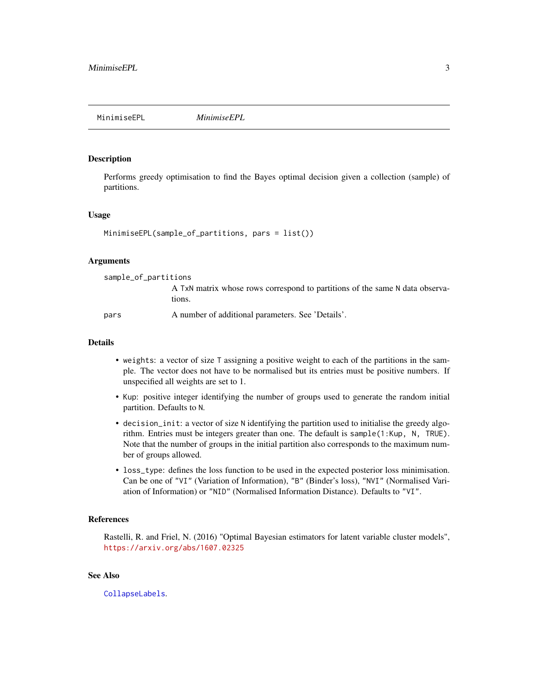<span id="page-2-0"></span>MinimiseEPL *MinimiseEPL*

### **Description**

Performs greedy optimisation to find the Bayes optimal decision given a collection (sample) of partitions.

#### Usage

```
MinimiseEPL(sample_of_partitions, pars = list())
```
#### Arguments

| sample_of_partitions |                                                                                        |  |
|----------------------|----------------------------------------------------------------------------------------|--|
|                      | A TxN matrix whose rows correspond to partitions of the same N data observa-<br>tions. |  |
| pars                 | A number of additional parameters. See 'Details'.                                      |  |

### Details

- weights: a vector of size T assigning a positive weight to each of the partitions in the sample. The vector does not have to be normalised but its entries must be positive numbers. If unspecified all weights are set to 1.
- Kup: positive integer identifying the number of groups used to generate the random initial partition. Defaults to N.
- decision\_init: a vector of size N identifying the partition used to initialise the greedy algorithm. Entries must be integers greater than one. The default is sample(1:Kup, N, TRUE). Note that the number of groups in the initial partition also corresponds to the maximum number of groups allowed.
- loss\_type: defines the loss function to be used in the expected posterior loss minimisation. Can be one of "VI" (Variation of Information), "B" (Binder's loss), "NVI" (Normalised Variation of Information) or "NID" (Normalised Information Distance). Defaults to "VI".

#### References

Rastelli, R. and Friel, N. (2016) "Optimal Bayesian estimators for latent variable cluster models", <https://arxiv.org/abs/1607.02325>

## See Also

[CollapseLabels](#page-1-1).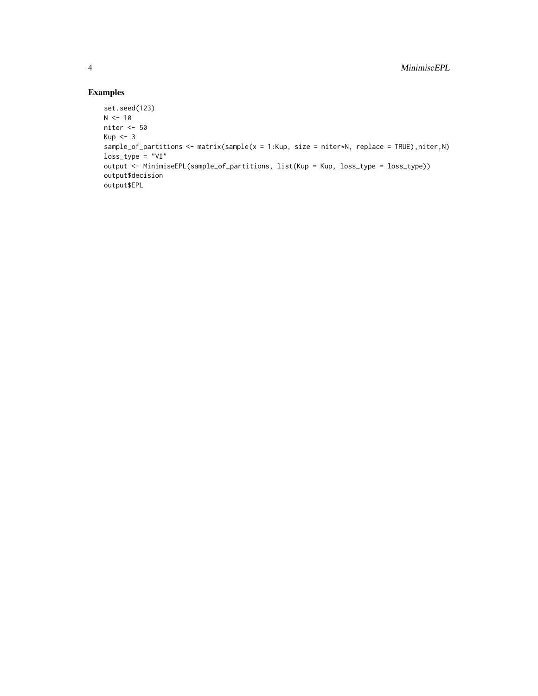# Examples

```
set.seed(123)
N < -10niter <- 50
Kup < -3sample_of_partitions <- matrix(sample(x = 1:Kup, size = niter*N, replace = TRUE), niter, N)
loss_type = "VI"
output <- MinimiseEPL(sample_of_partitions, list(Kup = Kup, loss_type = loss_type))
output$decision
output$EPL
```